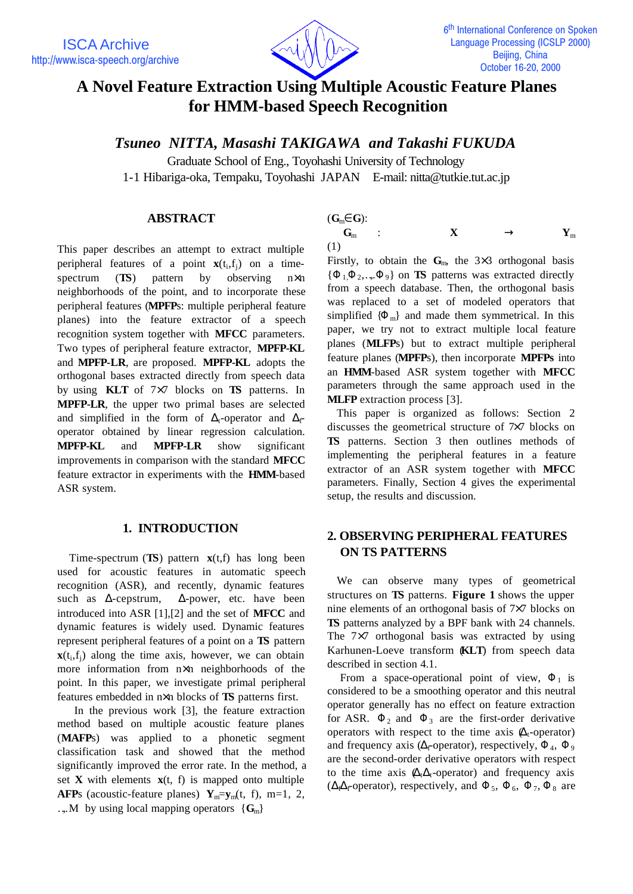

# **A Novel Feature Extraction Using Multiple Acoustic Feature Planes for HMM-based Speech Recognition**

*Tsuneo NITTA, Masashi TAKIGAWA and Takashi FUKUDA*

Graduate School of Eng., Toyohashi University of Technology 1-1 Hibariga-oka, Tempaku, Toyohashi JAPAN E-mail: nitta@tutkie.tut.ac.jp

## **ABSTRACT**

This paper describes an attempt to extract multiple peripheral features of a point  $\mathbf{x}(t_i, f_j)$  on a timespectrum (**TS**) pattern by observing n×n neighborhoods of the point, and to incorporate these peripheral features (**MPFP**s: multiple peripheral feature planes) into the feature extractor of a speech recognition system together with **MFCC** parameters. Two types of peripheral feature extractor, **MPFP-KL** and **MPFP-LR**, are proposed. **MPFP-KL** adopts the orthogonal bases extracted directly from speech data by using **KLT** of 7×7 blocks on **TS** patterns. In **MPFP-LR**, the upper two primal bases are selected and simplified in the form of  $\Delta_{t}$ -operator and  $\Delta_{f}$ operator obtained by linear regression calculation. **MPFP-KL** and **MPFP-LR** show significant improvements in comparison with the standard **MFCC** feature extractor in experiments with the **HMM**-based ASR system.

## **1. INTRODUCTION**

Time-spectrum  $(TS)$  pattern  $\mathbf{x}(t,f)$  has long been used for acoustic features in automatic speech recognition (ASR), and recently, dynamic features such as  $\Delta$ -cepstrum,  $\Delta$ -power, etc. have been introduced into ASR [1],[2] and the set of **MFCC** and dynamic features is widely used. Dynamic features represent peripheral features of a point on a **TS** pattern  $\mathbf{x}(t_i, f_j)$  along the time axis, however, we can obtain more information from n×n neighborhoods of the point. In this paper, we investigate primal peripheral features embedded in n×n blocks of **TS** patterns first.

 In the previous work [3], the feature extraction method based on multiple acoustic feature planes (**MAFP**s) was applied to a phonetic segment classification task and showed that the method significantly improved the error rate. In the method, a set **X** with elements  $\mathbf{x}(t, f)$  is mapped onto multiple **AFP**s (acoustic-feature planes)  $Y_m = y_m(t, f), m=1, 2,$  $\ldots$  M by using local mapping operators  $\{G_m\}$ 

# (**G**m**Î G**):

 $\mathbf{G}_{\mathrm{m}}$  : **X**  $\rightarrow$   $\mathbf{Y}_{\mathrm{m}}$ (1)

Firstly, to obtain the  $G<sub>m</sub>$ , the  $3\times3$  orthogonal basis  ${\bf \{F}_{1}, F_{2}, \ldots, F_{9}\}$  on **TS** patterns was extracted directly from a speech database. Then, the orthogonal basis was replaced to a set of modeled operators that simplified  ${F_{\text{m}}}$  and made them symmetrical. In this paper, we try not to extract multiple local feature planes (**MLFP**s) but to extract multiple peripheral feature planes (**MPFP**s), then incorporate **MPFPs** into an **HMM**-based ASR system together with **MFCC** parameters through the same approach used in the **MLFP** extraction process [3].

 This paper is organized as follows: Section 2 discusses the geometrical structure of 7×7 blocks on **TS** patterns. Section 3 then outlines methods of implementing the peripheral features in a feature extractor of an ASR system together with **MFCC** parameters. Finally, Section 4 gives the experimental setup, the results and discussion.

## **2. OBSERVING PERIPHERAL FEATURES ON TS PATTERNS**

 We can observe many types of geometrical structures on **TS** patterns. **Figure 1** shows the upper nine elements of an orthogonal basis of 7×7 blocks on **TS** patterns analyzed by a BPF bank with 24 channels. The  $7\times7$  orthogonal basis was extracted by using Karhunen-Loeve transform (**KLT**) from speech data described in section 4.1.

From a space-operational point of view,  $\mathbf{F}_1$  is considered to be a smoothing operator and this neutral operator generally has no effect on feature extraction for ASR.  $\mathbf{F}_2$  and  $\mathbf{F}_3$  are the first-order derivative operators with respect to the time axis  $(\Delta_t$ -operator) and frequency axis ( $\Delta_f$ -operator), respectively, **F**<sub>4</sub>, **F**<sub>9</sub> are the second-order derivative operators with respect to the time axis  $(\Delta_t \Delta_t$ -operator) and frequency axis  $(\Delta \Delta_f$ -operator), respectively, and **F**<sub>5</sub>, **F**<sub>6</sub>, **F**<sub>7</sub>, **F**<sub>8</sub> are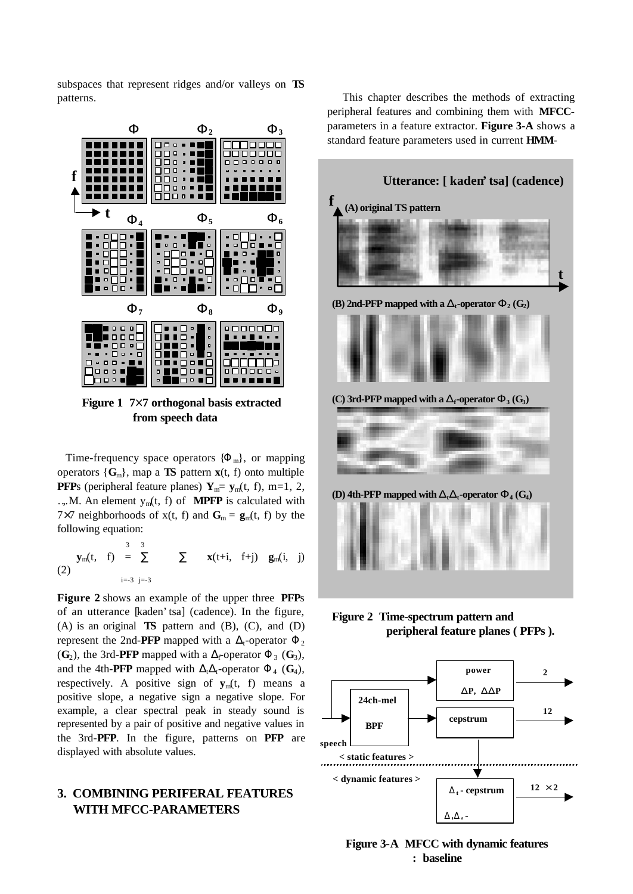subspaces that represent ridges and/or valleys on **TS** patterns.



**Figure 1 7´ 7 orthogonal basis extracted from speech data**

 Time-frequency space operators {**F** <sup>m</sup>}, or mapping operators  $\{G_m\}$ , map a **TS** pattern **x**(t, f) onto multiple **PFP**s (peripheral feature planes)  $Y_m = y_m(t, f)$ , m=1, 2, …, M. An element ym(t, f) of **MPFP** is calculated with 7×7 neighborhoods of  $x(t, f)$  and  $G_m = g_m(t, f)$  by the following equation:

 3 3 **y**m(t, f) = ∑ ∑ **x**(t+i, f+j) **g**m(i, j) (2)  $i=-3$  j=-3

**Figure 2** shows an example of the upper three **PFP**s of an utterance [kaden'tsa] (cadence). In the figure, (A) is an original **TS** pattern and (B), (C), and (D) represent the 2nd-**PFP** mapped with a  $\Delta_t$ -operator **F** <sub>2</sub> (**G**<sub>2</sub>), the 3rd-**PFP** mapped with a  $\Delta_f$ -operator **F** 3 (**G**<sub>3</sub>), and the 4th-**PFP** mapped with  $\Delta_t \Delta_t$ -operator **F** <sub>4</sub> (**G**<sub>4</sub>), respectively. A positive sign of  $y_m(t, f)$  means a positive slope, a negative sign a negative slope. For example, a clear spectral peak in steady sound is represented by a pair of positive and negative values in the 3rd-**PFP**. In the figure, patterns on **PFP** are displayed with absolute values.

## **3. COMBINING PERIFERAL FEATURES WITH MFCC-PARAMETERS**

 This chapter describes the methods of extracting peripheral features and combining them with **MFCC**parameters in a feature extractor. **Figure 3-A** shows a standard feature parameters used in current **HMM**-



**Figure 2 Time-spectrum pattern and peripheral feature planes ( PFPs ).**



**Figure 3-A MFCC with dynamic features : baseline**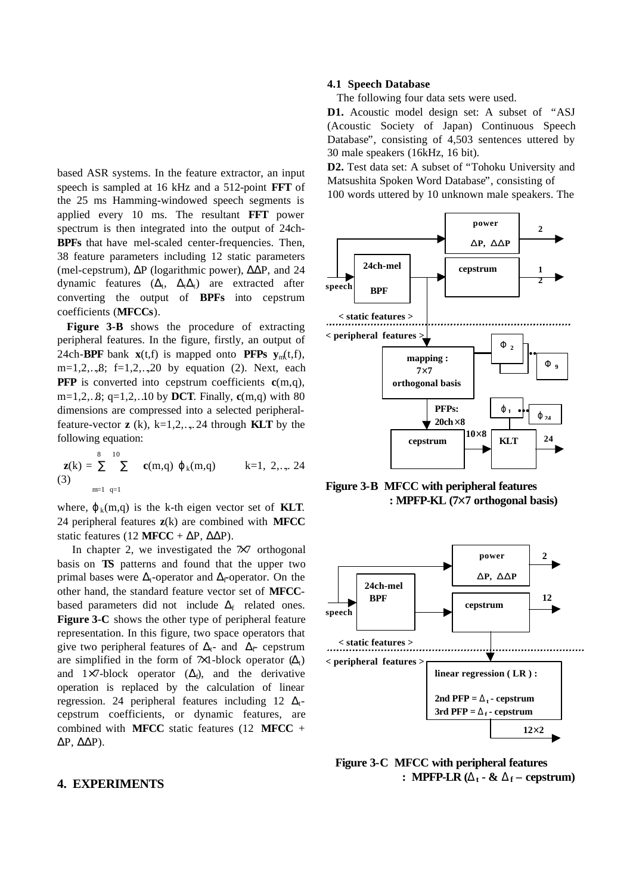based ASR systems. In the feature extractor, an input speech is sampled at 16 kHz and a 512-point **FFT** of the 25 ms Hamming-windowed speech segments is applied every 10 ms. The resultant **FFT** power spectrum is then integrated into the output of 24ch-**BPFs** that have mel-scaled center-frequencies. Then, 38 feature parameters including 12 static parameters (mel-cepstrum),  $\Delta P$  (logarithmic power),  $\Delta \Delta P$ , and 24 dynamic features  $(\Delta_t, \Delta_t \Delta_t)$  are extracted after converting the output of **BPFs** into cepstrum coefficients (**MFCCs**).

 **Figure 3-B** shows the procedure of extracting peripheral features. In the figure, firstly, an output of 24ch-**BPF** bank  $\mathbf{x}(t, f)$  is mapped onto **PFPs**  $\mathbf{y}_m(t, f)$ ,  $m=1,2,..,8$ ;  $f=1,2,..,20$  by equation (2). Next, each **PFP** is converted into cepstrum coefficients **c**(m,q), m=1,2,…8; q=1,2,…10 by **DCT**. Finally, **c**(m,q) with 80 dimensions are compressed into a selected peripheralfeature-vector  $z$  (k),  $k=1,2,...,24$  through **KLT** by the following equation:

 8 10 **z**(k) =  $\sum$   $\sum$  **c**(m,q) **j** <sub>k</sub>(m,q) k=1, 2,…, 24 (3)  $m=1$  q=1

where,  $\mathbf{j}_k(m,q)$  is the k-th eigen vector set of **KLT**. 24 peripheral features **z**(k) are combined with **MFCC** static features (12 **MFCC** +  $\Delta P$ ,  $\Delta \Delta P$ ).

In chapter 2, we investigated the  $\mathcal{K}$  orthogonal basis on **TS** patterns and found that the upper two primal bases were  $\Delta_t$ -operator and  $\Delta_t$ -operator. On the other hand, the standard feature vector set of **MFCC**based parameters did not include  $\Delta_f$  related ones. **Figure 3-C** shows the other type of peripheral feature representation. In this figure, two space operators that give two peripheral features of  $\Delta_{t-}$  and  $\Delta_{\mathcal{F}}$  cepstrum are simplified in the form of  $\mathcal{R}1$ -block operator  $(\Delta_t)$ and  $1\times7$ -block operator ( $\Delta_f$ ), and the derivative operation is replaced by the calculation of linear regression. 24 peripheral features including 12  $\Delta_t$ cepstrum coefficients, or dynamic features, are combined with **MFCC** static features (12 **MFCC** +  $\Delta P$ ,  $\Delta \Delta P$ ).

### **4. EXPERIMENTS**

#### **4.1 Speech Database**

The following four data sets were used.

**D1.** Acoustic model design set: A subset of "ASJ (Acoustic Society of Japan) Continuous Speech Database", consisting of 4,503 sentences uttered by 30 male speakers (16kHz, 16 bit).

**D2.** Test data set: A subset of "Tohoku University and Matsushita Spoken Word Database", consisting of 100 words uttered by 10 unknown male speakers. The



**Figure 3-B MFCC with peripheral features : MPFP-KL (7´ 7 orthogonal basis)**



**Figure 3-C MFCC with peripheral features : MPFP-LR (** $D_t$  **<b>-** &  $D_f$  – cepstrum)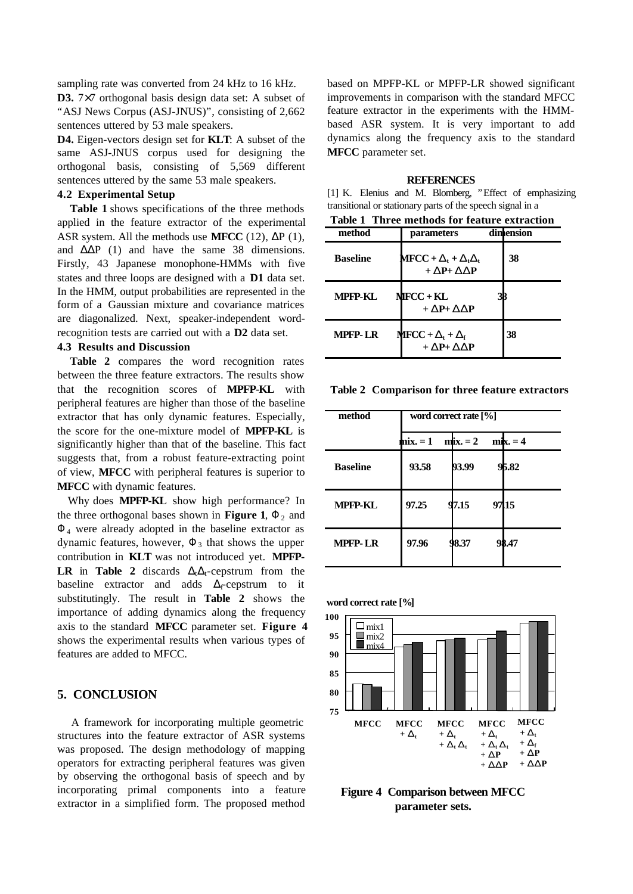sampling rate was converted from 24 kHz to 16 kHz.

**D3.** 7×7 orthogonal basis design data set: A subset of "ASJ News Corpus (ASJ-JNUS)", consisting of 2,662 sentences uttered by 53 male speakers.

**D4.** Eigen-vectors design set for **KLT**: A subset of the same ASJ-JNUS corpus used for designing the orthogonal basis, consisting of 5,569 different sentences uttered by the same 53 male speakers.

#### **4.2 Experimental Setup**

 **Table 1** shows specifications of the three methods applied in the feature extractor of the experimental ASR system. All the methods use **MFCC** (12),  $\Delta P$  (1), and  $\Delta\Delta P$  (1) and have the same 38 dimensions. Firstly, 43 Japanese monophone-HMMs with five states and three loops are designed with a **D1** data set. In the HMM, output probabilities are represented in the form of a Gaussian mixture and covariance matrices are diagonalized. Next, speaker-independent wordrecognition tests are carried out with a **D2** data set.

#### **4.3 Results and Discussion**

 **Table 2** compares the word recognition rates between the three feature extractors. The results show that the recognition scores of **MPFP-KL** with peripheral features are higher than those of the baseline extractor that has only dynamic features. Especially, the score for the one-mixture model of **MPFP-KL** is significantly higher than that of the baseline. This fact suggests that, from a robust feature-extracting point of view, **MFCC** with peripheral features is superior to **MFCC** with dynamic features.

 Why does **MPFP-KL** show high performance? In the three orthogonal bases shown in **Figure 1,**  $\mathbf{F}_2$  and  $\mathbf{F}_4$  were already adopted in the baseline extractor as dynamic features, however,  $\mathbf{F}_3$  that shows the upper contribution in **KLT** was not introduced yet. **MPFP-LR** in **Table 2** discards  $\Delta_t \Delta_t$ -cepstrum from the baseline extractor and adds  $\Delta_f$ -cepstrum to it substitutingly. The result in **Table 2** shows the importance of adding dynamics along the frequency axis to the standard **MFCC** parameter set. **Figure 4** shows the experimental results when various types of features are added to MFCC.

### **5. CONCLUSION**

 A framework for incorporating multiple geometric structures into the feature extractor of ASR systems was proposed. The design methodology of mapping operators for extracting peripheral features was given by observing the orthogonal basis of speech and by incorporating primal components into a feature extractor in a simplified form. The proposed method based on MPFP-KL or MPFP-LR showed significant improvements in comparison with the standard MFCC feature extractor in the experiments with the HMMbased ASR system. It is very important to add dynamics along the frequency axis to the standard **MFCC** parameter set.

#### **REFERENCES**

[1] K. Elenius and M. Blomberg, "Effect of emphasizing transitional or stationary parts of the speech signal in a

| Table 1 Three methods for feature extraction |                                                                                                    |           |  |
|----------------------------------------------|----------------------------------------------------------------------------------------------------|-----------|--|
| method                                       | parameters                                                                                         | dimension |  |
| <b>Baseline</b>                              | $\mathbf{MFCC} + \mathbf{D}_\mathrm{t} + \mathbf{D}_\mathrm{t} \mathbf{D}_\mathrm{t}$<br>$+DP+DDP$ | 38        |  |
| MPFP-KL                                      | $MFCC + KL$<br>$+DP+DDP$                                                                           |           |  |
| MPFP- LR                                     | $MFCC + D_t + D_f$<br>$+DP+DDP$                                                                    | 38        |  |

 **Table 2 Comparison for three feature extractors**

| method          | word correct rate [%] |           |                   |  |
|-----------------|-----------------------|-----------|-------------------|--|
|                 | $mix = 1$             | $mix = 2$ | $m\mathbf{k} = 4$ |  |
| <b>Baseline</b> | 93.58                 | 93.99     | 95.82             |  |
| <b>MPFP-KL</b>  | 97.25                 | 97.15     | 9715              |  |
| <b>MPFP-LR</b>  | 97.96                 | 8.37      | 98.47             |  |